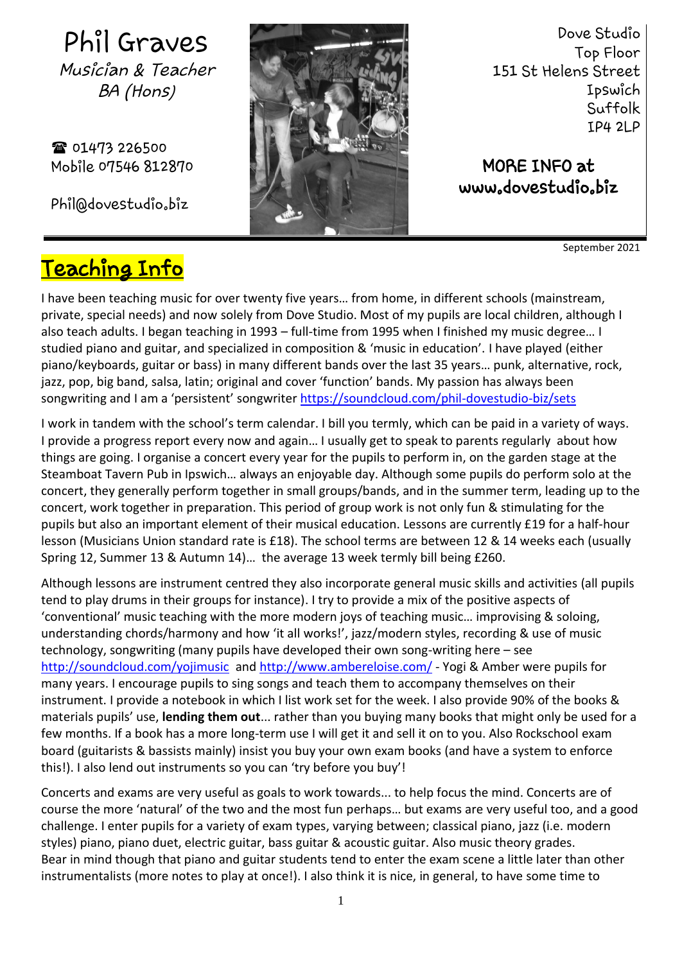Phil Graves Musician & Teacher BA (Hons)

**雷 01473 226500** Mobile 07546 812870

[Phil@dovestudio.biz](mailto:Phil@dovestudio.biz)



Dove Studio Top Floor 151 St Helens Street Ipswich Suffolk IP4 2LP

MORE INFO at [www.dovestudio.biz](http://www.dovestudio.biz/)

September 2021

## Teaching Info

I have been teaching music for over twenty five years… from home, in different schools (mainstream, private, special needs) and now solely from Dove Studio. Most of my pupils are local children, although I also teach adults. I began teaching in 1993 – full-time from 1995 when I finished my music degree… I studied piano and guitar, and specialized in composition & 'music in education'. I have played (either piano/keyboards, guitar or bass) in many different bands over the last 35 years… punk, alternative, rock, jazz, pop, big band, salsa, latin; original and cover 'function' bands. My passion has always been songwriting and I am a 'persistent' songwriter **<https://soundcloud.com/phil-dovestudio-biz/sets>** Ĩ

I work in tandem with the school's term calendar. I bill you termly, which can be paid in a variety of ways. I provide a progress report every now and again… I usually get to speak to parents regularly about how things are going. I organise a concert every year for the pupils to perform in, on the garden stage at the Steamboat Tavern Pub in Ipswich… always an enjoyable day. Although some pupils do perform solo at the concert, they generally perform together in small groups/bands, and in the summer term, leading up to the concert, work together in preparation. This period of group work is not only fun & stimulating for the pupils but also an important element of their musical education. Lessons are currently £19 for a half-hour lesson (Musicians Union standard rate is £18). The school terms are between 12 & 14 weeks each (usually Spring 12, Summer 13 & Autumn 14)… the average 13 week termly bill being £260.

Although lessons are instrument centred they also incorporate general music skills and activities (all pupils tend to play drums in their groups for instance). I try to provide a mix of the positive aspects of 'conventional' music teaching with the more modern joys of teaching music… improvising & soloing, understanding chords/harmony and how 'it all works!', jazz/modern styles, recording & use of music technology, songwriting (many pupils have developed their own song-writing here – see <http://soundcloud.com/yojimusic> and<http://www.ambereloise.com/> - Yogi & Amber were pupils for many years. I encourage pupils to sing songs and teach them to accompany themselves on their instrument. I provide a notebook in which I list work set for the week. I also provide 90% of the books & materials pupils' use, **lending them out**... rather than you buying many books that might only be used for a few months. If a book has a more long-term use I will get it and sell it on to you. Also Rockschool exam board (guitarists & bassists mainly) insist you buy your own exam books (and have a system to enforce this!). I also lend out instruments so you can 'try before you buy'!

Concerts and exams are very useful as goals to work towards... to help focus the mind. Concerts are of course the more 'natural' of the two and the most fun perhaps… but exams are very useful too, and a good challenge. I enter pupils for a variety of exam types, varying between; classical piano, jazz (i.e. modern styles) piano, piano duet, electric guitar, bass guitar & acoustic guitar. Also music theory grades. Bear in mind though that piano and guitar students tend to enter the exam scene a little later than other instrumentalists (more notes to play at once!). I also think it is nice, in general, to have some time to